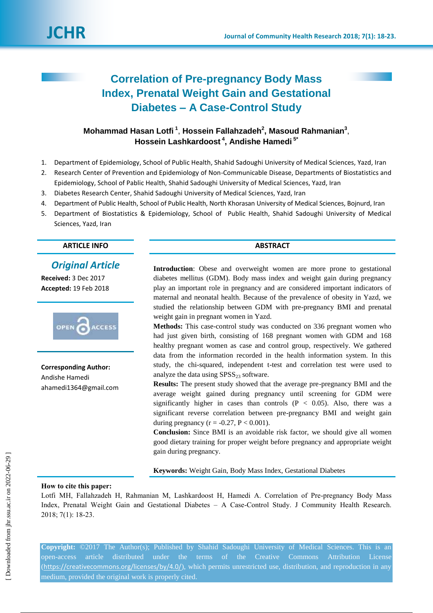

# **Correlation of Pre-pregnancy Body Mass Index, Prenatal Weight Gain and Gestational Diabetes – A Case-Control Study**

## **Mohammad Hasan Lotfi <sup>1</sup>** , **Hossein Fallahzadeh<sup>2</sup> , Masoud Rahmanian<sup>3</sup>** , **Hossein Lashkardoost <sup>4</sup> , Andishe Hamedi 5\***

- 1. Department of Epidemiology, School of Public Health, Shahid Sadoughi University of Medical Sciences, Yazd, Iran
- 2. Research Center of Prevention and Epidemiology of Non-Communicable Disease, Departments of Biostatistics and Epidemiology, School of Pablic Health, Shahid Sadoughi University of Medical Sciences, Yazd, Iran
- 3. Diabetes Research Center, Shahid Sadoughi University of Medical Sciences, Yazd, Iran
- 4. Department of Public Health, School of Public Health, North Khorasan University of Medical Sciences, Bojnurd, Iran
- 5. Department of Biostatistics & Epidemiology, School of Public Health, Shahid Sadoughi University of Medical Sciences, Yazd, Iran

### **ARTICLE INFO ABSTRACT**

## *Original Article*

**Received:** 3 Dec 2017 **Accepted:** 19 Feb 2018



**Corresponding Author:** Andishe Hamedi ahamedi1364@gmail.com

**Introduction**: Obese and overweight women are more prone to gestational diabetes mellitus (GDM). Body mass index and weight gain during pregnancy play an important role in pregnancy and are considered important indicators of maternal and neonatal health. Because of the prevalence of obesity in Yazd, we studied the relationship between GDM with pre-pregnancy BMI and prenatal weight gain in pregnant women in Yazd.

**Methods:** This case-control study was conducted on 336 pregnant women who had just given birth, consisting of 168 pregnant women with GDM and 168 healthy pregnant women as case and control group, respectively. We gathered data from the information recorded in the health information system. In this study, the chi-squared, independent t-test and correlation test were used to analyze the data using  $SPSS<sub>23</sub>$  software.

**Results:** The present study showed that the average pre-pregnancy BMI and the average weight gained during pregnancy until screening for GDM were significantly higher in cases than controls  $(P < 0.05)$ . Also, there was a significant reverse correlation between pre-pregnancy BMI and weight gain during pregnancy ( $r = -0.27$ ,  $P < 0.001$ ).

**Conclusion:** Since BMI is an avoidable risk factor, we should give all women good dietary training for proper weight before pregnancy and appropriate weight gain during pregnancy.

**Keywords:** Weight Gain, Body Mass Index, Gestational Diabetes

#### **How to cite this paper:**

Lotfi MH, Fallahzadeh H, Rahmanian M, Lashkardoost H, Hamedi A. Correlation of Pre-pregnancy Body Mass Index, Prenatal Weight Gain and Gestational Diabetes – A Case-Control Study. J Community Health Research. 2018; 7(1): 18-23.

**Copyright:** ©2017 The Author(s); Published by Shahid Sadoughi University of Medical Sciences. This is an open-access article distributed under the terms of the Creative Commons Attribution License (<https://creativecommons.org/licenses/by/4.0/>), which permits unrestricted use, distribution, and reproduction in any medium, provided the original work is properly cited.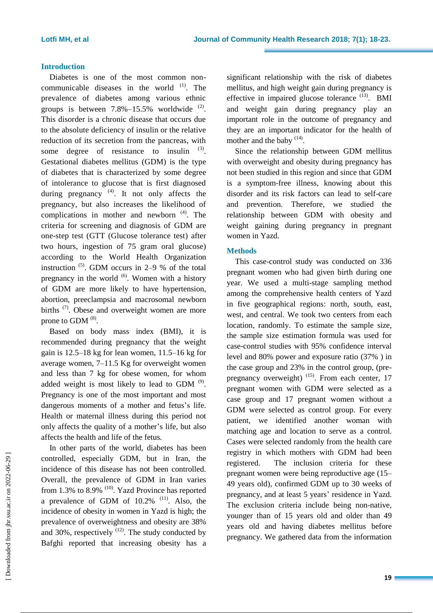### **Introduction**

Diabetes is one of the most common noncommunicable diseases in the world  $(1)$ . The prevalence of diabetes among various ethnic groups is between  $7.8\% - 15.5\%$  worldwide  $^{(2)}$ . This disorder is a chronic disease that occurs due to the absolute deficiency of insulin or the relative reduction of its secretion from the pancreas, with some degree of resistance to insulin  $(3)$ . Gestational diabetes mellitus (GDM) is the type of diabetes that is characterized by some degree of intolerance to glucose that is first diagnosed during pregnancy<sup>(4)</sup>. It not only affects the pregnancy, but also increases the likelihood of complications in mother and newborn  $(4)$ . The criteria for screening and diagnosis of GDM are one-step test (GTT (Glucose tolerance test) after two hours, ingestion of 75 gram oral glucose) according to the World Health Organization instruction  $(5)$ . GDM occurs in 2–9 % of the total pregnancy in the world  $(6)$ . Women with a history of GDM are more likely to have hypertension, abortion, preeclampsia and macrosomal newborn births <sup>(7)</sup>. Obese and overweight women are more prone to GDM  $<sup>(8)</sup>$ .</sup>

Based on body mass index (BMI), it is recommended during pregnancy that the weight gain is 12.5–18 kg for lean women, 11.5–16 kg for average women, 7–11.5 Kg for overweight women and less than 7 kg for obese women, for whom added weight is most likely to lead to GDM  $^{(9)}$ . Pregnancy is one of the most important and most dangerous moments of a mother and fetus's life. Health or maternal illness during this period not only affects the quality of a mother's life, but also affects the health and life of the fetus.

In other parts of the world, diabetes has been controlled, especially GDM, but in Iran, the incidence of this disease has not been controlled. Overall, the prevalence of GDM in Iran varies from 1.3% to 8.9%  $(10)$ . Yazd Province has reported a prevalence of GDM of  $10.2\%$ <sup>(11)</sup>. Also, the incidence of obesity in women in Yazd is high; the prevalence of overweightness and obesity are 38% and 30%, respectively  $(12)$ . The study conducted by Bafghi reported that increasing obesity has a

significant relationship with the risk of diabetes mellitus, and high weight gain during pregnancy is effective in impaired glucose tolerance  $(13)$ . BMI and weight gain during pregnancy play an important role in the outcome of pregnancy and they are an important indicator for the health of mother and the baby  $(14)$ .

Since the relationship between GDM mellitus with overweight and obesity during pregnancy has not been studied in this region and since that GDM is a symptom-free illness, knowing about this disorder and its risk factors can lead to self-care and prevention. Therefore, we studied the relationship between GDM with obesity and weight gaining during pregnancy in pregnant women in Yazd.

### **Methods**

This case-control study was conducted on 336 pregnant women who had given birth during one year. We used a multi-stage sampling method among the comprehensive health centers of Yazd in five geographical regions: north, south, east, west, and central. We took two centers from each location, randomly. To estimate the sample size, the sample size estimation formula was used for case-control studies with 95% confidence interval level and 80% power and exposure ratio (37% ) in the case group and 23% in the control group, (prepregnancy overweight) <sup>(15)</sup>. From each center, 17 pregnant women with GDM were selected as a case group and 17 pregnant women without a GDM were selected as control group. For every patient, we identified another woman with matching age and location to serve as a control. Cases were selected randomly from the health care registry in which mothers with GDM had been registered. The inclusion criteria for these pregnant women were being reproductive age (15– 49 years old), confirmed GDM up to 30 weeks of pregnancy, and at least 5 years' residence in Yazd. The exclusion criteria include being non-native, younger than of 15 years old and older than 49 years old and having diabetes mellitus before pregnancy. We gathered data from the information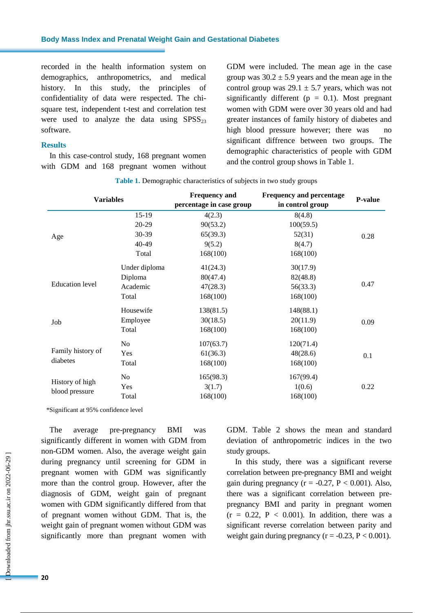recorded in the health information system on demographics, anthropometrics, and medical history. In this study, the principles of confidentiality of data were respected. The chisquare test, independent t-test and correlation test were used to analyze the data using  $SPSS<sub>23</sub>$ software.

#### **Results**

In this case-control study, 168 pregnant women with GDM and 168 pregnant women without GDM were included. The mean age in the case group was  $30.2 \pm 5.9$  years and the mean age in the control group was  $29.1 \pm 5.7$  years, which was not significantly different ( $p = 0.1$ ). Most pregnant women with GDM were over 30 years old and had greater instances of family history of diabetes and high blood pressure however; there was no significant diffrence between two groups. The demographic characteristics of people with GDM and the control group shows in Table 1.

| <b>Variables</b>                  |               | <b>Frequency and</b>     | <b>Frequency and percentage</b><br>in control group | <b>P-value</b> |
|-----------------------------------|---------------|--------------------------|-----------------------------------------------------|----------------|
|                                   |               | percentage in case group |                                                     |                |
| Age                               | $15-19$       | 4(2.3)                   | 8(4.8)                                              | 0.28           |
|                                   | 20-29         | 90(53.2)                 | 100(59.5)                                           |                |
|                                   | 30-39         | 65(39.3)                 | 52(31)                                              |                |
|                                   | 40-49         | 9(5.2)                   | 8(4.7)                                              |                |
|                                   | Total         | 168(100)                 | 168(100)                                            |                |
| <b>Education</b> level            | Under diploma | 41(24.3)                 | 30(17.9)                                            | 0.47           |
|                                   | Diploma       | 80(47.4)                 | 82(48.8)                                            |                |
|                                   | Academic      | 47(28.3)                 | 56(33.3)                                            |                |
|                                   | Total         | 168(100)                 | 168(100)                                            |                |
| Job                               | Housewife     | 138(81.5)                | 148(88.1)                                           | 0.09           |
|                                   | Employee      | 30(18.5)                 | 20(11.9)                                            |                |
|                                   | Total         | 168(100)                 | 168(100)                                            |                |
| Family history of<br>diabetes     | No            | 107(63.7)                | 120(71.4)                                           | 0.1            |
|                                   | Yes           | 61(36.3)                 | 48(28.6)                                            |                |
|                                   | Total         | 168(100)                 | 168(100)                                            |                |
| History of high<br>blood pressure | No.           | 165(98.3)                | 167(99.4)                                           |                |
|                                   | Yes           | 3(1.7)                   | 1(0.6)                                              | 0.22           |
|                                   | Total         | 168(100)                 | 168(100)                                            |                |

\*Significant at 95% confidence level

The average pre-pregnancy BMI was significantly different in women with GDM from non-GDM women. Also, the average weight gain during pregnancy until screening for GDM in pregnant women with GDM was significantly more than the control group. However, after the diagnosis of GDM, weight gain of pregnant women with GDM significantly differed from that of pregnant women without GDM. That is, the weight gain of pregnant women without GDM was significantly more than pregnant women with GDM. Table 2 shows the mean and standard deviation of anthropometric indices in the two study groups.

In this study, there was a significant reverse correlation between pre-pregnancy BMI and weight gain during pregnancy ( $r = -0.27$ ,  $P < 0.001$ ). Also, there was a significant correlation between prepregnancy BMI and parity in pregnant women  $(r = 0.22, P < 0.001)$ . In addition, there was a significant reverse correlation between parity and weight gain during pregnancy ( $r = -0.23$ ,  $P < 0.001$ ).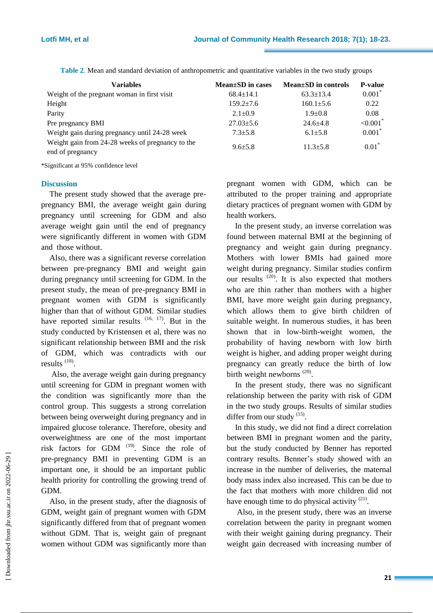| <b>Variables</b>                                                     | $Mean \pm SD$ in cases | Mean±SD in controls | <b>P-value</b>          |
|----------------------------------------------------------------------|------------------------|---------------------|-------------------------|
| Weight of the pregnant woman in first visit                          | $68.4 \pm 14.1$        | $63.3 \pm 13.4$     | $0.001*$                |
| Height                                                               | $159.2 + 7.6$          | $160.1 \pm 5.6$     | 0.22                    |
| Parity                                                               | $2.1 \pm 0.9$          | $1.9 + 0.8$         | 0.08                    |
| Pre pregnancy BMI                                                    | $27.03 \pm 5.6$        | $24.6 + 4.8$        | ${<}0.001$ <sup>*</sup> |
| Weight gain during pregnancy until 24-28 week                        | $7.3 \pm 5.8$          | $6.1 \pm 5.8$       | $0.001*$                |
| Weight gain from 24-28 weeks of pregnancy to the<br>end of pregnancy | $9.6 + 5.8$            | $11.3 + 5.8$        | $0.01*$                 |

**Table 2**. Mean and standard deviation of anthropometric and quantitative variables in the two study groups

\*Significant at 95% confidence level

#### **Discussion**

The present study showed that the average prepregnancy BMI, the average weight gain during pregnancy until screening for GDM and also average weight gain until the end of pregnancy were significantly different in women with GDM and those without.

Also, there was a significant reverse correlation between pre-pregnancy BMI and weight gain during pregnancy until screening for GDM. In the present study, the mean of pre-pregnancy BMI in pregnant women with GDM is significantly higher than that of without GDM. Similar studies have reported similar results  $(16, 17)$ . But in the study conducted by Kristensen et al, there was no significant relationship between BMI and the risk of GDM, which was contradicts with our results<sup>(18)</sup>.

Also, the average weight gain during pregnancy until screening for GDM in pregnant women with the condition was significantly more than the control group. This suggests a strong correlation between being overweight during pregnancy and in impaired glucose tolerance. Therefore, obesity and overweightness are one of the most important risk factors for GDM  $(19)$ . Since the role of pre-pregnancy BMI in preventing GDM is an important one, it should be an important public health priority for controlling the growing trend of GDM.

Also, in the present study, after the diagnosis of GDM, weight gain of pregnant women with GDM significantly differed from that of pregnant women without GDM. That is, weight gain of pregnant women without GDM was significantly more than

pregnant women with GDM, which can be attributed to the proper training and appropriate dietary practices of pregnant women with GDM by health workers.

In the present study, an inverse correlation was found between maternal BMI at the beginning of pregnancy and weight gain during pregnancy. Mothers with lower BMIs had gained more weight during pregnancy. Similar studies confirm our results  $(20)$ . It is also expected that mothers who are thin rather than mothers with a higher BMI, have more weight gain during pregnancy, which allows them to give birth children of suitable weight. In numerous studies, it has been shown that in low-birth-weight women, the probability of having newborn with low birth weight is higher, and adding proper weight during pregnancy can greatly reduce the birth of low birth weight newborns  $(20)$ .

In the present study, there was no significant relationship between the parity with risk of GDM in the two study groups. Results of similar studies differ from our study <sup>(15)</sup>.

In this study, we did not find a direct correlation between BMI in pregnant women and the parity, but the study conducted by Benner has reported contrary results. Benner's study showed with an increase in the number of deliveries, the maternal body mass index also increased. This can be due to the fact that mothers with more children did not have enough time to do physical activity  $(21)$ .

Also, in the present study, there was an inverse correlation between the parity in pregnant women with their weight gaining during pregnancy. Their weight gain decreased with increasing number of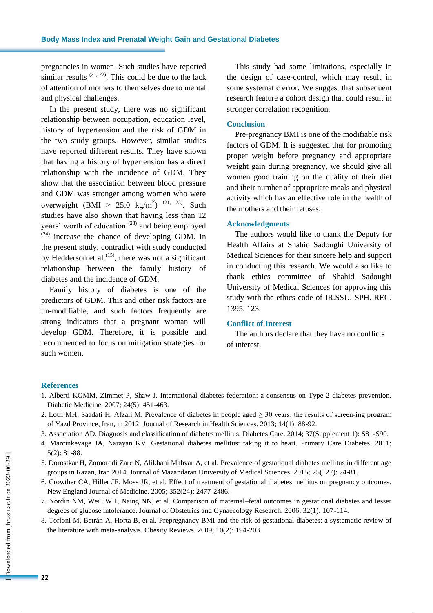pregnancies in women. Such studies have reported similar results  $(21, 22)$ . This could be due to the lack of attention of mothers to themselves due to mental and physical challenges.

In the present study, there was no significant relationship between occupation, education level, history of hypertension and the risk of GDM in the two study groups. However, similar studies have reported different results. They have shown that having a history of hypertension has a direct relationship with the incidence of GDM. They show that the association between blood pressure and GDM was stronger among women who were overweight (BMI  $\geq 25.0 \text{ kg/m}^2$ )<sup>(21, 23)</sup>. Such studies have also shown that having less than 12 years' worth of education  $(23)$  and being employed  $(24)$  increase the chance of developing GDM. In the present study, contradict with study conducted by Hedderson et al. $^{(15)}$ , there was not a significant relationship between the family history of diabetes and the incidence of GDM.

Family history of diabetes is one of the predictors of GDM. This and other risk factors are un-modifiable, and such factors frequently are strong indicators that a pregnant woman will develop GDM. Therefore, it is possible and recommended to focus on mitigation strategies for such women.

This study had some limitations, especially in the design of case-control, which may result in some systematic error. We suggest that subsequent research feature a cohort design that could result in stronger correlation recognition.

#### **Conclusion**

Pre-pregnancy BMI is one of the modifiable risk factors of GDM. It is suggested that for promoting proper weight before pregnancy and appropriate weight gain during pregnancy, we should give all women good training on the quality of their diet and their number of appropriate meals and physical activity which has an effective role in the health of the mothers and their fetuses.

#### **Acknowledgments**

The authors would like to thank the Deputy for Health Affairs at Shahid Sadoughi University of Medical Sciences for their sincere help and support in conducting this research. We would also like to thank ethics committee of Shahid Sadoughi University of Medical Sciences for approving this study with the ethics code of IR.SSU. SPH. REC. 1395. 123.

### **Conflict of Interest**

The authors declare that they have no conflicts of interest.

#### **References**

- 1. Alberti KGMM, Zimmet P, Shaw J. International diabetes federation: a consensus on Type 2 diabetes prevention. Diabetic Medicine. 2007; 24(5): 451-463.
- 2. Lotfi MH, Saadati H, Afzali M. Prevalence of diabetes in people aged  $\geq$  30 years: the results of screen-ing program of Yazd Province, Iran, in 2012. Journal of Research in Health Sciences. 2013; 14(1): 88-92.
- 3. Association AD. Diagnosis and classification of diabetes mellitus. Diabetes Care. 2014; 37(Supplement 1): S81-S90.
- 4. Marcinkevage JA, Narayan KV. Gestational diabetes mellitus: taking it to heart. Primary Care Diabetes. 2011; 5(2): 81-88.
- 5. Dorostkar H, Zomorodi Zare N, Alikhani Mahvar A, et al. Prevalence of gestational diabetes mellitus in different age groups in Razan, Iran 2014. Journal of Mazandaran University of Medical Sciences. 2015; 25(127): 74-81.
- 6. Crowther CA, Hiller JE, Moss JR, et al. Effect of treatment of gestational diabetes mellitus on pregnancy outcomes. New England Journal of Medicine. 2005; 352(24): 2477-2486.
- 7. Nordin NM, Wei JWH, Naing NN, et al. Comparison of maternal–fetal outcomes in gestational diabetes and lesser degrees of glucose intolerance. Journal of Obstetrics and Gynaecology Research. 2006; 32(1): 107-114.
- 8. Torloni M, Betrán A, Horta B, et al. Prepregnancy BMI and the risk of gestational diabetes: a systematic review of the literature with meta‐analysis. Obesity Reviews. 2009; 10(2): 194-203.